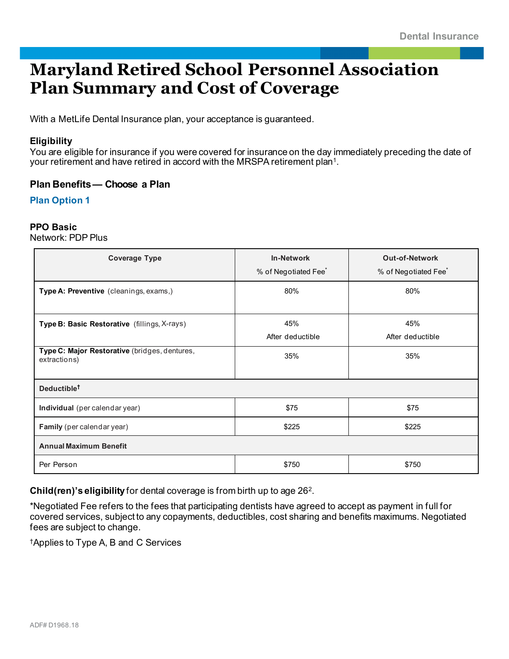# **Maryland Retired School Personnel Association Plan Summary and Cost of Coverage**

With a MetLife Dental Insurance plan, your acceptance is guaranteed.

## **Eligibility**

You are eligible for insurance if you were covered for insurance on the day immediately preceding the date of your retirement and have retired in accord with the MRSPA retirement plan1.

## **Plan Benefits— Choose a Plan**

**Plan Option 1**

#### **PPO Basic**

Network: PDP Plus

| <b>Coverage Type</b>                                          | <b>In-Network</b><br>% of Negotiated Fee <sup>*</sup> | <b>Out-of-Network</b><br>% of Negotiated Fee <sup>*</sup> |  |
|---------------------------------------------------------------|-------------------------------------------------------|-----------------------------------------------------------|--|
| Type A: Preventive (cleanings, exams,)                        | 80%                                                   | 80%                                                       |  |
| Type B: Basic Restorative (fillings, X-rays)                  | 45%<br>After deductible                               | 45%<br>After deductible                                   |  |
| Type C: Major Restorative (bridges, dentures,<br>extractions) | 35%                                                   | 35%                                                       |  |
| Deductible <sup>t</sup>                                       |                                                       |                                                           |  |
| Individual (per calendar year)                                | \$75                                                  | \$75                                                      |  |
| Family (per calendar year)                                    | \$225                                                 | \$225                                                     |  |
| <b>Annual Maximum Benefit</b>                                 |                                                       |                                                           |  |
| Per Person                                                    | \$750                                                 | \$750                                                     |  |

**Child(ren)'s eligibility** for dental coverage is from birth up to age 262.

\*Negotiated Fee refers to the fees that participating dentists have agreed to accept as payment in full for covered services, subject to any copayments, deductibles, cost sharing and benefits maximums. Negotiated fees are subject to change.

†Applies to Type A, B and C Services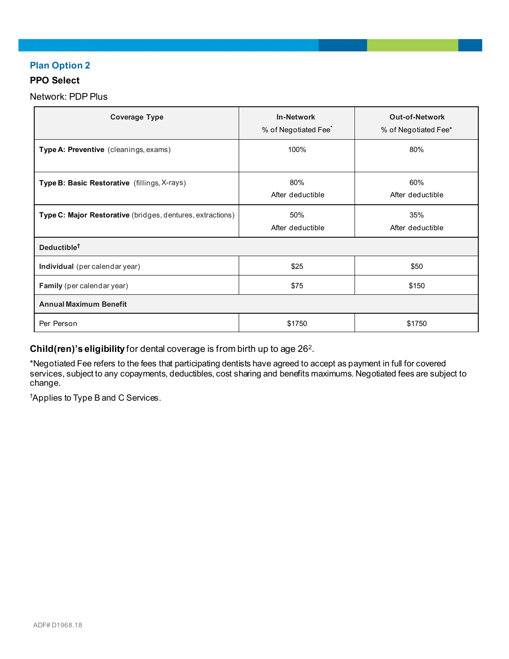# **Plan Option 2**

## **PPO Select**

Network: PDP Plus

| <b>Coverage Type</b>                                       | <b>In-Network</b><br>% of Negotiated Fee <sup>*</sup> | <b>Out-of-Network</b><br>% of Negotiated Fee* |  |
|------------------------------------------------------------|-------------------------------------------------------|-----------------------------------------------|--|
| Type A: Preventive (cleanings, exams)                      | 100%                                                  | 80%                                           |  |
| Type B: Basic Restorative (fillings, X-rays)               | 80%<br>After deductible                               | 60%<br>After deductible                       |  |
| Type C: Major Restorative (bridges, dentures, extractions) | 50%<br>After deductible                               | 35%<br>After deductible                       |  |
| Deductible <sup>t</sup>                                    |                                                       |                                               |  |
| Individual (per calendar year)                             | \$25                                                  | \$50                                          |  |
| Family (per calendar year)                                 | \$75                                                  | \$150                                         |  |
| <b>Annual Maximum Benefit</b>                              |                                                       |                                               |  |
| Per Person                                                 | \$1750                                                | \$1750                                        |  |

**Child(ren)'s eligibility** for dental coverage is from birth up to age 262.

\*Negotiated Fee refers to the fees that participating dentists have agreed to accept as payment in full for covered services, subject to any copayments, deductibles, cost sharing and benefits maximums. Negotiated fees are subject to change.

† Applies to Type B and C Services.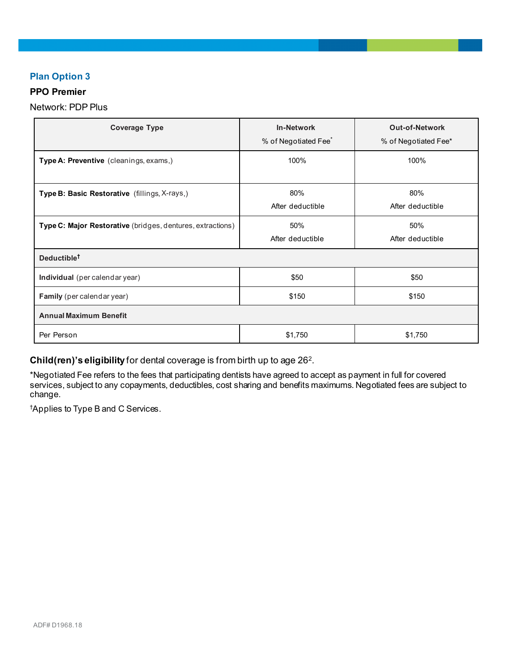## **Plan Option 3**

## **PPO Premier**

Network: PDP Plus

| <b>Coverage Type</b>                                       | <b>In-Network</b><br>% of Negotiated Fee <sup>*</sup> | <b>Out-of-Network</b><br>% of Negotiated Fee* |
|------------------------------------------------------------|-------------------------------------------------------|-----------------------------------------------|
| Type A: Preventive (cleanings, exams,)                     | 100%                                                  | 100%                                          |
| Type B: Basic Restorative (fillings, X-rays,)              | 80%<br>After deductible                               | 80%<br>After deductible                       |
| Type C: Major Restorative (bridges, dentures, extractions) | 50%<br>After deductible                               | 50%<br>After deductible                       |
| Deductible <sup>t</sup>                                    |                                                       |                                               |
| Individual (per calendar year)                             | \$50                                                  | \$50                                          |
| <b>Family</b> (per calendar year)                          | \$150                                                 | \$150                                         |
| <b>Annual Maximum Benefit</b>                              |                                                       |                                               |
| Per Person                                                 | \$1,750                                               | \$1,750                                       |

**Child(ren)'s eligibility** for dental coverage is from birth up to age 262.

\*Negotiated Fee refers to the fees that participating dentists have agreed to accept as payment in full for covered services, subject to any copayments, deductibles, cost sharing and benefits maximums. Negotiated fees are subject to change.

† Applies to Type B and C Services.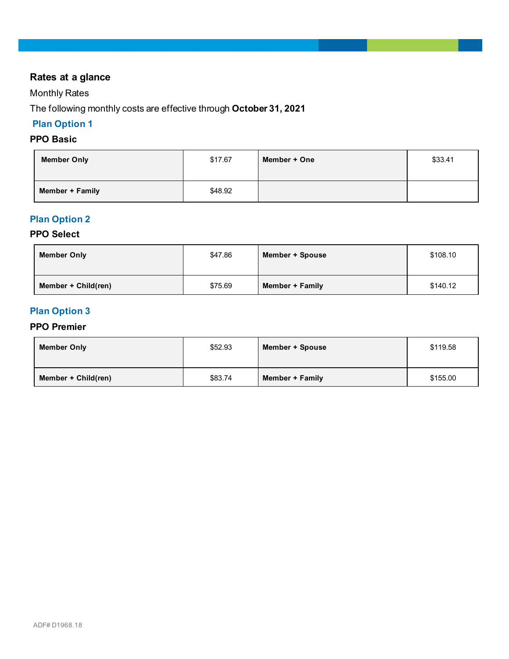# **Rates at a glance**

# Monthly Rates

The following monthly costs are effective through **October 31, 2021**

# **Plan Option 1**

# **PPO Basic**

| <b>Member Only</b> | \$17.67 | Member + One | \$33.41 |
|--------------------|---------|--------------|---------|
| Member + Family    | \$48.92 |              |         |

## **Plan Option 2**

## **PPO Select**

| <b>Member Only</b>  | \$47.86 | Member + Spouse | \$108.10 |
|---------------------|---------|-----------------|----------|
| Member + Child(ren) | \$75.69 | Member + Family | \$140.12 |

# **Plan Option 3**

#### **PPO Premier**

| <b>Member Only</b>  | \$52.93 | Member + Spouse | \$119.58 |
|---------------------|---------|-----------------|----------|
| Member + Child(ren) | \$83.74 | Member + Family | \$155.00 |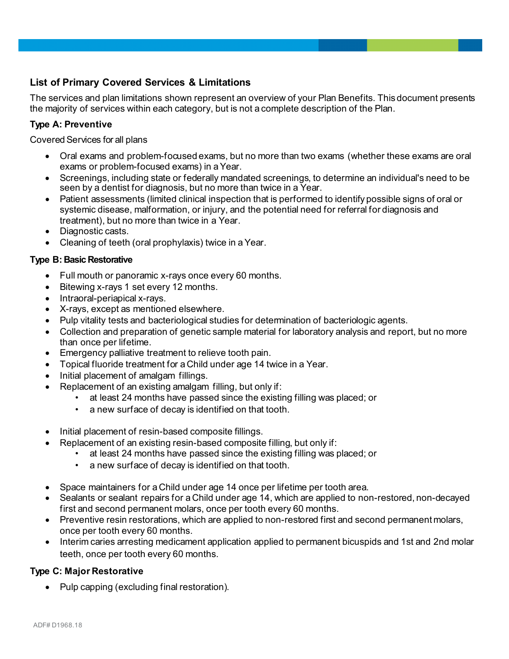# **List of Primary Covered Services & Limitations**

The services and plan limitations shown represent an overview of your Plan Benefits. This document presents the majority of services within each category, but is not a complete description of the Plan.

## **Type A: Preventive**

Covered Services for all plans

- Oral exams and problem-focused exams, but no more than two exams (whether these exams are oral exams or problem-focused exams) in a Year.
- Screenings, including state or federally mandated screenings, to determine an individual's need to be seen by a dentist for diagnosis, but no more than twice in a Year.
- Patient assessments (limited clinical inspection that is performed to identify possible signs of oral or systemic disease, malformation, or injury, and the potential need for referral for diagnosis and treatment), but no more than twice in a Year.
- Diagnostic casts.
- Cleaning of teeth (oral prophylaxis) twice in a Year.

## **Type B: Basic Restorative**

- Full mouth or panoramic x-rays once every 60 months.
- Bitewing x-rays 1 set every 12 months.
- Intraoral-periapical x-rays.
- X-rays, except as mentioned elsewhere.
- Pulp vitality tests and bacteriological studies for determination of bacteriologic agents.
- Collection and preparation of genetic sample material for laboratory analysis and report, but no more than once per lifetime.
- Emergency palliative treatment to relieve tooth pain.
- Topical fluoride treatment for a Child under age 14 twice in a Year.
- Initial placement of amalgam fillings.
- Replacement of an existing amalgam filling, but only if:
	- at least 24 months have passed since the existing filling was placed; or
	- a new surface of decay is identified on that tooth.
- Initial placement of resin-based composite fillings.
- Replacement of an existing resin-based composite filling, but only if:
	- at least 24 months have passed since the existing filling was placed; or
	- a new surface of decay is identified on that tooth.
- Space maintainers for a Child under age 14 once per lifetime per tooth area.
- Sealants or sealant repairs for a Child under age 14, which are applied to non-restored, non-decayed first and second permanent molars, once per tooth every 60 months.
- Preventive resin restorations, which are applied to non-restored first and second permanent molars, once per tooth every 60 months.
- Interim caries arresting medicament application applied to permanent bicuspids and 1st and 2nd molar teeth, once per tooth every 60 months.

## **Type C: Major Restorative**

• Pulp capping (excluding final restoration).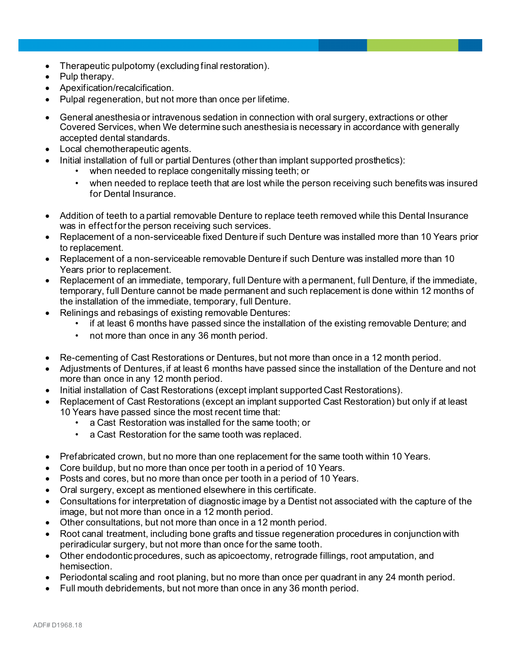- Therapeutic pulpotomy (excluding final restoration).
- Pulp therapy.
- Apexification/recalcification.
- Pulpal regeneration, but not more than once per lifetime.
- General anesthesia or intravenous sedation in connection with oral surgery, extractions or other Covered Services, when We determine such anesthesia is necessary in accordance with generally accepted dental standards.
- Local chemotherapeutic agents.
	- Initial installation of full or partial Dentures (other than implant supported prosthetics):
		- when needed to replace congenitally missing teeth; or
		- when needed to replace teeth that are lost while the person receiving such benefits was insured for Dental Insurance.
- Addition of teeth to a partial removable Denture to replace teeth removed while this Dental Insurance was in effect for the person receiving such services.
- Replacement of a non-serviceable fixed Denture if such Denture was installed more than 10 Years prior to replacement.
- Replacement of a non-serviceable removable Denture if such Denture was installed more than 10 Years prior to replacement.
- Replacement of an immediate, temporary, full Denture with a permanent, full Denture, if the immediate, temporary, full Denture cannot be made permanent and such replacement is done within 12 months of the installation of the immediate, temporary, full Denture.
- Relinings and rebasings of existing removable Dentures:
	- if at least 6 months have passed since the installation of the existing removable Denture; and
	- not more than once in any 36 month period.
- Re-cementing of Cast Restorations or Dentures, but not more than once in a 12 month period.
- Adjustments of Dentures, if at least 6 months have passed since the installation of the Denture and not more than once in any 12 month period.
- Initial installation of Cast Restorations (except implant supported Cast Restorations).
- Replacement of Cast Restorations (except an implant supported Cast Restoration) but only if at least 10 Years have passed since the most recent time that:
	- a Cast Restoration was installed for the same tooth; or
	- a Cast Restoration for the same tooth was replaced.
- Prefabricated crown, but no more than one replacement for the same tooth within 10 Years.
- Core buildup, but no more than once per tooth in a period of 10 Years.
- Posts and cores, but no more than once per tooth in a period of 10 Years.
- Oral surgery, except as mentioned elsewhere in this certificate.
- Consultations for interpretation of diagnostic image by a Dentist not associated with the capture of the image, but not more than once in a 12 month period.
- Other consultations, but not more than once in a 12 month period.
- Root canal treatment, including bone grafts and tissue regeneration procedures in conjunction with periradicular surgery, but not more than once for the same tooth.
- Other endodontic procedures, such as apicoectomy, retrograde fillings, root amputation, and hemisection.
- Periodontal scaling and root planing, but no more than once per quadrant in any 24 month period.
- Full mouth debridements, but not more than once in any 36 month period.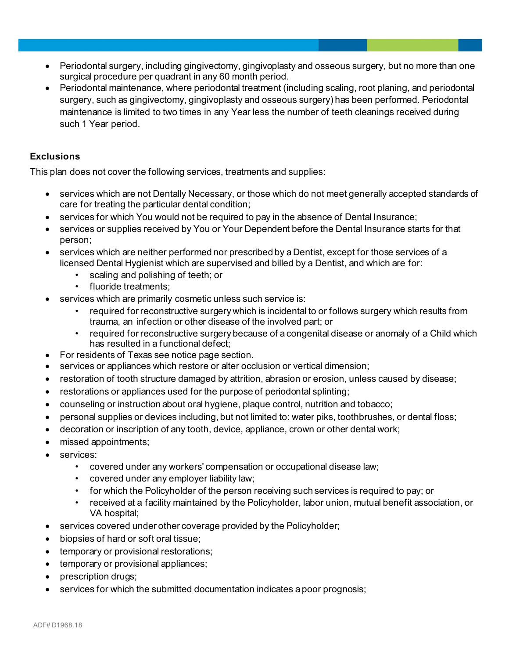- Periodontal surgery, including gingivectomy, gingivoplasty and osseous surgery, but no more than one surgical procedure per quadrant in any 60 month period.
- Periodontal maintenance, where periodontal treatment (including scaling, root planing, and periodontal surgery, such as gingivectomy, gingivoplasty and osseous surgery) has been performed. Periodontal maintenance is limited to two times in any Year less the number of teeth cleanings received during such 1 Year period.

## **Exclusions**

This plan does not cover the following services, treatments and supplies:

- services which are not Dentally Necessary, or those which do not meet generally accepted standards of care for treating the particular dental condition;
- services for which You would not be required to pay in the absence of Dental Insurance;
- services or supplies received by You or Your Dependent before the Dental Insurance starts for that person;
- services which are neither performed nor prescribed by a Dentist, except for those services of a licensed Dental Hygienist which are supervised and billed by a Dentist, and which are for:
	- scaling and polishing of teeth; or
	- fluoride treatments;
- services which are primarily cosmetic unless such service is:
	- required for reconstructive surgery which is incidental to or follows surgery which results from trauma, an infection or other disease of the involved part; or
	- required for reconstructive surgery because of a congenital disease or anomaly of a Child which has resulted in a functional defect;
- For residents of Texas see notice page section.
- services or appliances which restore or alter occlusion or vertical dimension;
- restoration of tooth structure damaged by attrition, abrasion or erosion, unless caused by disease;
- restorations or appliances used for the purpose of periodontal splinting;
- counseling or instruction about oral hygiene, plaque control, nutrition and tobacco;
- personal supplies or devices including, but not limited to: water piks, toothbrushes, or dental floss;
- decoration or inscription of any tooth, device, appliance, crown or other dental work;
- missed appointments;
- services:
	- covered under any workers' compensation or occupational disease law;
	- covered under any employer liability law;
	- for which the Policyholder of the person receiving such services is required to pay; or
	- received at a facility maintained by the Policyholder, labor union, mutual benefit association, or VA hospital;
- services covered under other coverage provided by the Policyholder;
- biopsies of hard or soft oral tissue;
- temporary or provisional restorations;
- temporary or provisional appliances;
- prescription drugs;
- services for which the submitted documentation indicates a poor prognosis;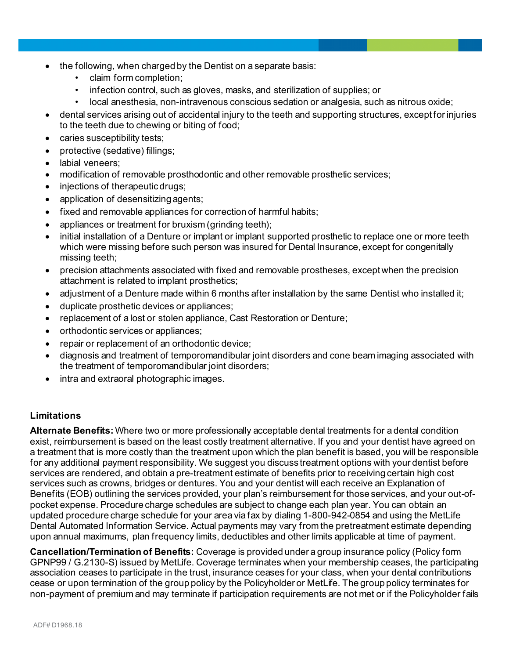- the following, when charged by the Dentist on a separate basis:
	- claim form completion;
	- infection control, such as gloves, masks, and sterilization of supplies; or
	- local anesthesia, non-intravenous conscious sedation or analgesia, such as nitrous oxide;
- dental services arising out of accidental injury to the teeth and supporting structures, except for injuries to the teeth due to chewing or biting of food;
- caries susceptibility tests;
- protective (sedative) fillings;
- labial veneers;
- modification of removable prosthodontic and other removable prosthetic services;
- injections of therapeutic drugs;
- application of desensitizing agents;
- fixed and removable appliances for correction of harmful habits;
- appliances or treatment for bruxism (grinding teeth);
- initial installation of a Denture or implant or implant supported prosthetic to replace one or more teeth which were missing before such person was insured for Dental Insurance, except for congenitally missing teeth;
- precision attachments associated with fixed and removable prostheses, except when the precision attachment is related to implant prosthetics;
- adjustment of a Denture made within 6 months after installation by the same Dentist who installed it;
- duplicate prosthetic devices or appliances;
- replacement of a lost or stolen appliance, Cast Restoration or Denture;
- orthodontic services or appliances;
- repair or replacement of an orthodontic device;
- diagnosis and treatment of temporomandibular joint disorders and cone beam imaging associated with the treatment of temporomandibular joint disorders;
- intra and extraoral photographic images.

## **Limitations**

**Alternate Benefits:** Where two or more professionally acceptable dental treatments for a dental condition exist, reimbursement is based on the least costly treatment alternative. If you and your dentist have agreed on a treatment that is more costly than the treatment upon which the plan benefit is based, you will be responsible for any additional payment responsibility. We suggest you discuss treatment options with your dentist before services are rendered, and obtain a pre-treatment estimate of benefits prior to receiving certain high cost services such as crowns, bridges or dentures. You and your dentist will each receive an Explanation of Benefits (EOB) outlining the services provided, your plan's reimbursement for those services, and your out-ofpocket expense. Procedure charge schedules are subject to change each plan year. You can obtain an updated procedure charge schedule for your area via fax by dialing 1-800-942-0854 and using the MetLife Dental Automated Information Service. Actual payments may vary from the pretreatment estimate depending upon annual maximums, plan frequency limits, deductibles and other limits applicable at time of payment.

**Cancellation/Termination of Benefits:** Coverage is provided under a group insurance policy (Policy form GPNP99 / G.2130-S) issued by MetLife. Coverage terminates when your membership ceases, the participating association ceases to participate in the trust, insurance ceases for your class, when your dental contributions cease or upon termination of the group policy by the Policyholder or MetLife. The group policy terminates for non-payment of premium and may terminate if participation requirements are not met or if the Policyholder fails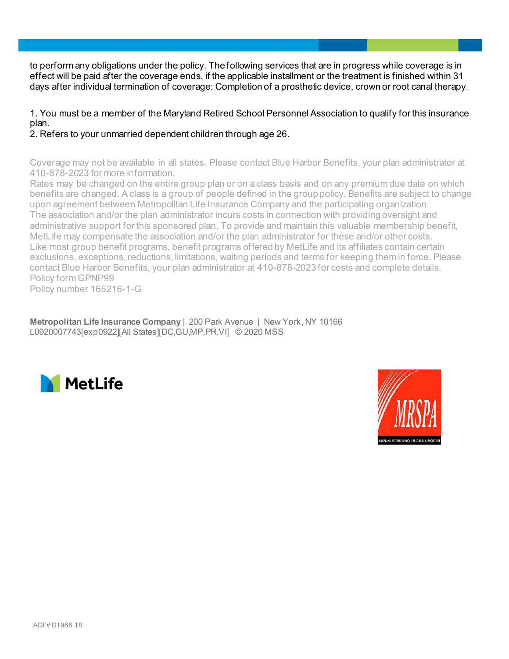to perform any obligations under the policy. The following services that are in progress while coverage is in effect will be paid after the coverage ends, if the applicable installment or the treatment is finished within 31 days after individual termination of coverage: Completion of a prosthetic device, crown or root canal therapy.

1. You must be a member of the Maryland Retired School Personnel Association to qualify for this insurance plan.

2. Refers to your unmarried dependent children through age 26.

Coverage may not be available in all states. Please contact Blue Harbor Benefits, your plan administrator at 410-878-2023 for more information.

Rates may be changed on the entire group plan or on a class basis and on any premium due date on which benefits are changed. A class is a group of people defined in the group policy. Benefits are subject to change upon agreement between Metropolitan Life Insurance Company and the participating organization. The association and/or the plan administrator incurs costs in connection with providing oversight and administrative support for this sponsored plan. To provide and maintain this valuable membership benefit, MetLife may compensate the association and/or the plan administrator for these and/or other costs. Like most group benefit programs, benefit programs offered by MetLife and its affiliates contain certain exclusions, exceptions, reductions, limitations, waiting periods and terms for keeping them in force. Please contact Blue Harbor Benefits, your plan administrator at 410-878-2023 for costs and complete details. Policy form GPNP99

Policy number 165216-1-G

**Metropolitan Life Insurance Company** | 200 Park Avenue | New York, NY 10166 L0920007743[exp0922][All States][DC,GU,MP,PR,VI] © 2020 MSS



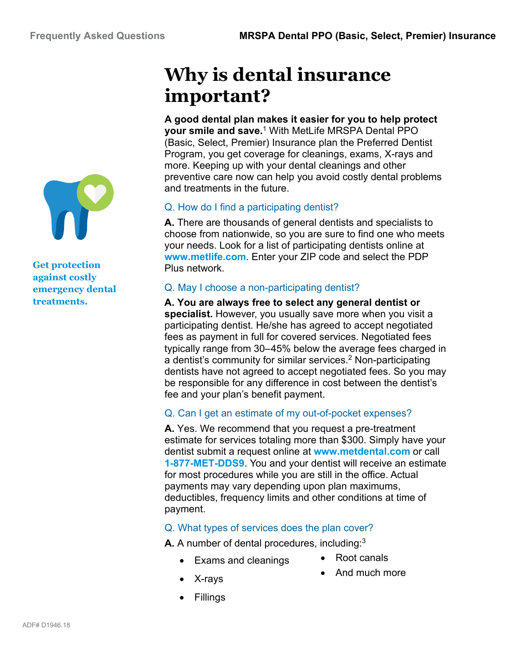

**Get protection against costly emergency dental treatments.**

# **Why is dental insurance important?**

**A good dental plan makes it easier for you to help protect your smile and save.**<sup>1</sup> With MetLife MRSPA Dental PPO (Basic, Select, Premier) Insurance plan the Preferred Dentist Program, you get coverage for cleanings, exams, X-rays and more. Keeping up with your dental cleanings and other preventive care now can help you avoid costly dental problems and treatments in the future.

# Q. How do I find a participating dentist?

**A.** There are thousands of general dentists and specialists to choose from nationwide, so you are sure to find one who meets your needs. Look for a list of participating dentists online at **www.metlife.com**. Enter your ZIP code and select the PDP Plus network.

# Q. May I choose a non-participating dentist?

**A. You are always free to select any general dentist or specialist.** However, you usually save more when you visit a participating dentist. He/she has agreed to accept negotiated fees as payment in full for covered services. Negotiated fees typically range from 30–45% below the average fees charged in a dentist's community for similar services.<sup>2</sup> Non-participating dentists have not agreed to accept negotiated fees. So you may be responsible for any difference in cost between the dentist's fee and your plan's benefit payment.

# Q. Can I get an estimate of my out-of-pocket expenses?

**A.** Yes. We recommend that you request a pre-treatment estimate for services totaling more than \$300. Simply have your dentist submit a request online at **www.metdental.com** or call **1-877-MET-DDS9**. You and your dentist will receive an estimate for most procedures while you are still in the office. Actual payments may vary depending upon plan maximums, deductibles, frequency limits and other conditions at time of payment.

# Q. What types of services does the plan cover?

**A.** A number of dental procedures, including:<sup>3</sup>

- Exams and cleanings Root canals
- 
- X-rays **•** And much more
- 
- Fillings